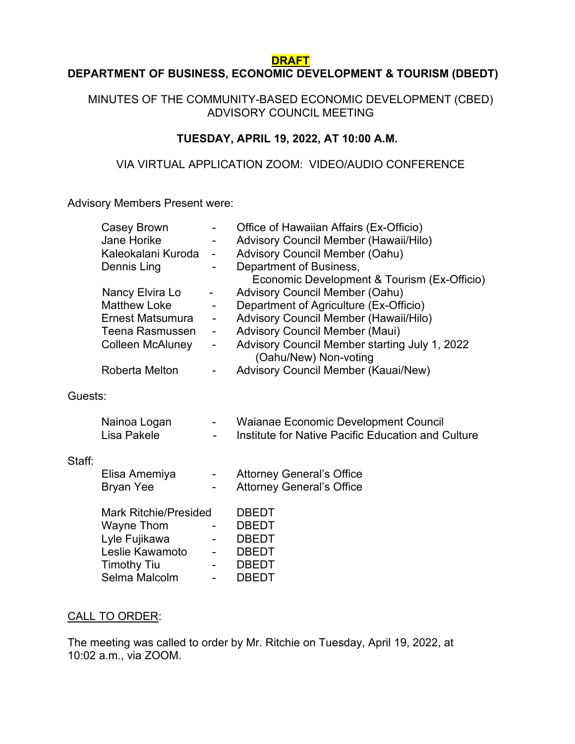#### **DRAFT**

### **DEPARTMENT OF BUSINESS, ECONOMIC DEVELOPMENT & TOURISM (DBEDT)**

#### MINUTES OF THE COMMUNITY-BASED ECONOMIC DEVELOPMENT (CBED) ADVISORY COUNCIL MEETING

#### **TUESDAY, APRIL 19, 2022, AT 10:00 A.M.**

#### VIA VIRTUAL APPLICATION ZOOM: VIDEO/AUDIO CONFERENCE

Advisory Members Present were:

|         | Casey Brown                         | -                            | Office of Hawaiian Affairs (Ex-Officio)            |
|---------|-------------------------------------|------------------------------|----------------------------------------------------|
|         | <b>Jane Horike</b>                  | $\overline{\phantom{0}}$     | Advisory Council Member (Hawaii/Hilo)              |
|         | Kaleokalani Kuroda                  | $\overline{\phantom{0}}$     | <b>Advisory Council Member (Oahu)</b>              |
|         | Dennis Ling                         | -                            | Department of Business,                            |
|         |                                     |                              | Economic Development & Tourism (Ex-Officio)        |
|         | Nancy Elvira Lo                     |                              | <b>Advisory Council Member (Oahu)</b>              |
|         | <b>Matthew Loke</b>                 | -                            | Department of Agriculture (Ex-Officio)             |
|         | Ernest Matsumura                    | $\qquad \qquad \blacksquare$ | Advisory Council Member (Hawaii/Hilo)              |
|         | Teena Rasmussen                     | $\overline{\phantom{a}}$     | <b>Advisory Council Member (Maui)</b>              |
|         | Colleen McAluney                    | $\overline{\phantom{a}}$     | Advisory Council Member starting July 1, 2022      |
|         |                                     |                              | (Oahu/New) Non-voting                              |
|         | Roberta Melton                      |                              | Advisory Council Member (Kauai/New)                |
|         |                                     |                              |                                                    |
| Guests: |                                     |                              |                                                    |
|         |                                     |                              |                                                    |
|         | Nainoa Logan                        | $\blacksquare$               | Waianae Economic Development Council               |
|         | Lisa Pakele                         |                              | Institute for Native Pacific Education and Culture |
|         |                                     |                              |                                                    |
| Staff:  |                                     |                              |                                                    |
|         | Elisa Amemiya                       | $\blacksquare$               | <b>Attorney General's Office</b>                   |
|         | <b>Bryan Yee</b>                    |                              | <b>Attorney General's Office</b>                   |
|         | <b>Mark Ritchie/Presided</b>        |                              | <b>DBEDT</b>                                       |
|         | Wayne Thom                          |                              | <b>DBEDT</b>                                       |
|         | Lyle Fujikawa                       | $\overline{\phantom{0}}$     | <b>DBEDT</b>                                       |
|         | Leslie Kawamoto                     |                              | DBEDT                                              |
|         |                                     |                              | <b>DBEDT</b>                                       |
|         | <b>Timothy Tiu</b><br>Selma Malcolm |                              | <b>DBEDT</b>                                       |
|         |                                     | $\overline{\phantom{0}}$     |                                                    |

#### CALL TO ORDER:

The meeting was called to order by Mr. Ritchie on Tuesday, April 19, 2022, at 10:02 a.m., via ZOOM.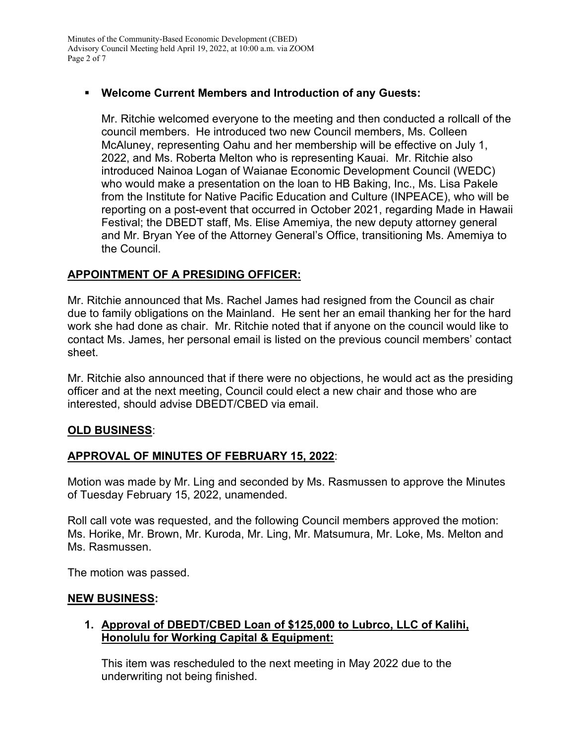# **Welcome Current Members and Introduction of any Guests:**

Mr. Ritchie welcomed everyone to the meeting and then conducted a rollcall of the council members. He introduced two new Council members, Ms. Colleen McAluney, representing Oahu and her membership will be effective on July 1, 2022, and Ms. Roberta Melton who is representing Kauai. Mr. Ritchie also introduced Nainoa Logan of Waianae Economic Development Council (WEDC) who would make a presentation on the loan to HB Baking, Inc., Ms. Lisa Pakele from the Institute for Native Pacific Education and Culture (INPEACE), who will be reporting on a post-event that occurred in October 2021, regarding Made in Hawaii Festival; the DBEDT staff, Ms. Elise Amemiya, the new deputy attorney general and Mr. Bryan Yee of the Attorney General's Office, transitioning Ms. Amemiya to the Council.

# **APPOINTMENT OF A PRESIDING OFFICER:**

Mr. Ritchie announced that Ms. Rachel James had resigned from the Council as chair due to family obligations on the Mainland. He sent her an email thanking her for the hard work she had done as chair. Mr. Ritchie noted that if anyone on the council would like to contact Ms. James, her personal email is listed on the previous council members' contact sheet.

Mr. Ritchie also announced that if there were no objections, he would act as the presiding officer and at the next meeting, Council could elect a new chair and those who are interested, should advise DBEDT/CBED via email.

### **OLD BUSINESS**:

### **APPROVAL OF MINUTES OF FEBRUARY 15, 2022**:

Motion was made by Mr. Ling and seconded by Ms. Rasmussen to approve the Minutes of Tuesday February 15, 2022, unamended.

Roll call vote was requested, and the following Council members approved the motion: Ms. Horike, Mr. Brown, Mr. Kuroda, Mr. Ling, Mr. Matsumura, Mr. Loke, Ms. Melton and Ms. Rasmussen.

The motion was passed.

#### **NEW BUSINESS:**

### **1. Approval of DBEDT/CBED Loan of \$125,000 to Lubrco, LLC of Kalihi, Honolulu for Working Capital & Equipment:**

This item was rescheduled to the next meeting in May 2022 due to the underwriting not being finished.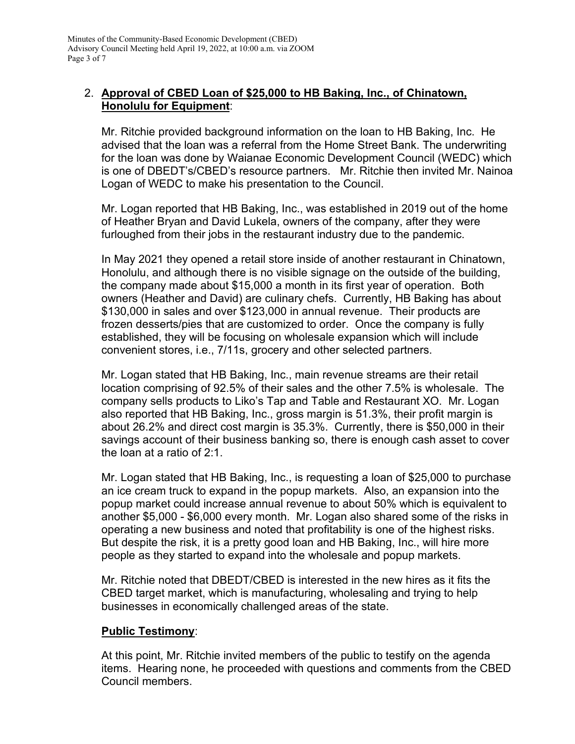### 2. **Approval of CBED Loan of \$25,000 to HB Baking, Inc., of Chinatown, Honolulu for Equipment**:

Mr. Ritchie provided background information on the loan to HB Baking, Inc. He advised that the loan was a referral from the Home Street Bank. The underwriting for the loan was done by Waianae Economic Development Council (WEDC) which is one of DBEDT's/CBED's resource partners. Mr. Ritchie then invited Mr. Nainoa Logan of WEDC to make his presentation to the Council.

Mr. Logan reported that HB Baking, Inc., was established in 2019 out of the home of Heather Bryan and David Lukela, owners of the company, after they were furloughed from their jobs in the restaurant industry due to the pandemic.

In May 2021 they opened a retail store inside of another restaurant in Chinatown, Honolulu, and although there is no visible signage on the outside of the building, the company made about \$15,000 a month in its first year of operation. Both owners (Heather and David) are culinary chefs. Currently, HB Baking has about \$130,000 in sales and over \$123,000 in annual revenue. Their products are frozen desserts/pies that are customized to order. Once the company is fully established, they will be focusing on wholesale expansion which will include convenient stores, i.e., 7/11s, grocery and other selected partners.

Mr. Logan stated that HB Baking, Inc., main revenue streams are their retail location comprising of 92.5% of their sales and the other 7.5% is wholesale. The company sells products to Liko's Tap and Table and Restaurant XO. Mr. Logan also reported that HB Baking, Inc., gross margin is 51.3%, their profit margin is about 26.2% and direct cost margin is 35.3%. Currently, there is \$50,000 in their savings account of their business banking so, there is enough cash asset to cover the loan at a ratio of 2:1.

Mr. Logan stated that HB Baking, Inc., is requesting a loan of \$25,000 to purchase an ice cream truck to expand in the popup markets. Also, an expansion into the popup market could increase annual revenue to about 50% which is equivalent to another \$5,000 - \$6,000 every month. Mr. Logan also shared some of the risks in operating a new business and noted that profitability is one of the highest risks. But despite the risk, it is a pretty good loan and HB Baking, Inc., will hire more people as they started to expand into the wholesale and popup markets.

Mr. Ritchie noted that DBEDT/CBED is interested in the new hires as it fits the CBED target market, which is manufacturing, wholesaling and trying to help businesses in economically challenged areas of the state.

### **Public Testimony**:

At this point, Mr. Ritchie invited members of the public to testify on the agenda items. Hearing none, he proceeded with questions and comments from the CBED Council members.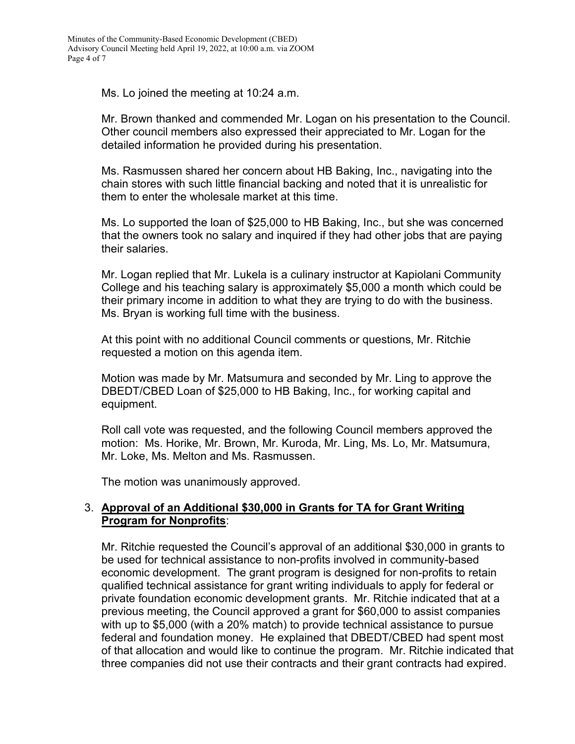Ms. Lo joined the meeting at 10:24 a.m.

Mr. Brown thanked and commended Mr. Logan on his presentation to the Council. Other council members also expressed their appreciated to Mr. Logan for the detailed information he provided during his presentation.

Ms. Rasmussen shared her concern about HB Baking, Inc., navigating into the chain stores with such little financial backing and noted that it is unrealistic for them to enter the wholesale market at this time.

Ms. Lo supported the loan of \$25,000 to HB Baking, Inc., but she was concerned that the owners took no salary and inquired if they had other jobs that are paying their salaries.

Mr. Logan replied that Mr. Lukela is a culinary instructor at Kapiolani Community College and his teaching salary is approximately \$5,000 a month which could be their primary income in addition to what they are trying to do with the business. Ms. Bryan is working full time with the business.

At this point with no additional Council comments or questions, Mr. Ritchie requested a motion on this agenda item.

Motion was made by Mr. Matsumura and seconded by Mr. Ling to approve the DBEDT/CBED Loan of \$25,000 to HB Baking, Inc., for working capital and equipment.

Roll call vote was requested, and the following Council members approved the motion: Ms. Horike, Mr. Brown, Mr. Kuroda, Mr. Ling, Ms. Lo, Mr. Matsumura, Mr. Loke, Ms. Melton and Ms. Rasmussen.

The motion was unanimously approved.

### 3. **Approval of an Additional \$30,000 in Grants for TA for Grant Writing Program for Nonprofits**:

Mr. Ritchie requested the Council's approval of an additional \$30,000 in grants to be used for technical assistance to non-profits involved in community-based economic development. The grant program is designed for non-profits to retain qualified technical assistance for grant writing individuals to apply for federal or private foundation economic development grants. Mr. Ritchie indicated that at a previous meeting, the Council approved a grant for \$60,000 to assist companies with up to \$5,000 (with a 20% match) to provide technical assistance to pursue federal and foundation money. He explained that DBEDT/CBED had spent most of that allocation and would like to continue the program. Mr. Ritchie indicated that three companies did not use their contracts and their grant contracts had expired.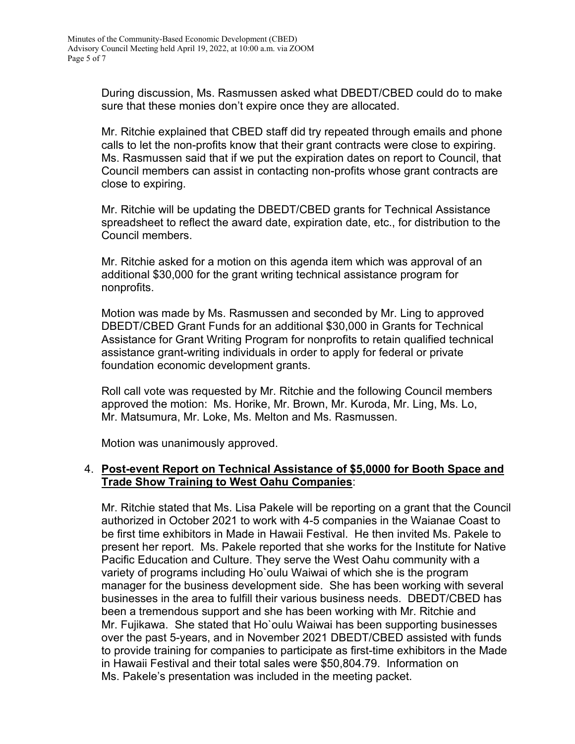During discussion, Ms. Rasmussen asked what DBEDT/CBED could do to make sure that these monies don't expire once they are allocated.

Mr. Ritchie explained that CBED staff did try repeated through emails and phone calls to let the non-profits know that their grant contracts were close to expiring. Ms. Rasmussen said that if we put the expiration dates on report to Council, that Council members can assist in contacting non-profits whose grant contracts are close to expiring.

Mr. Ritchie will be updating the DBEDT/CBED grants for Technical Assistance spreadsheet to reflect the award date, expiration date, etc., for distribution to the Council members.

Mr. Ritchie asked for a motion on this agenda item which was approval of an additional \$30,000 for the grant writing technical assistance program for nonprofits.

Motion was made by Ms. Rasmussen and seconded by Mr. Ling to approved DBEDT/CBED Grant Funds for an additional \$30,000 in Grants for Technical Assistance for Grant Writing Program for nonprofits to retain qualified technical assistance grant-writing individuals in order to apply for federal or private foundation economic development grants.

Roll call vote was requested by Mr. Ritchie and the following Council members approved the motion: Ms. Horike, Mr. Brown, Mr. Kuroda, Mr. Ling, Ms. Lo, Mr. Matsumura, Mr. Loke, Ms. Melton and Ms. Rasmussen.

Motion was unanimously approved.

### 4. **Post-event Report on Technical Assistance of \$5,0000 for Booth Space and Trade Show Training to West Oahu Companies**:

Mr. Ritchie stated that Ms. Lisa Pakele will be reporting on a grant that the Council authorized in October 2021 to work with 4-5 companies in the Waianae Coast to be first time exhibitors in Made in Hawaii Festival. He then invited Ms. Pakele to present her report. Ms. Pakele reported that she works for the Institute for Native Pacific Education and Culture. They serve the West Oahu community with a variety of programs including Ho`oulu Waiwai of which she is the program manager for the business development side. She has been working with several businesses in the area to fulfill their various business needs. DBEDT/CBED has been a tremendous support and she has been working with Mr. Ritchie and Mr. Fujikawa. She stated that Ho`oulu Waiwai has been supporting businesses over the past 5-years, and in November 2021 DBEDT/CBED assisted with funds to provide training for companies to participate as first-time exhibitors in the Made in Hawaii Festival and their total sales were \$50,804.79. Information on Ms. Pakele's presentation was included in the meeting packet.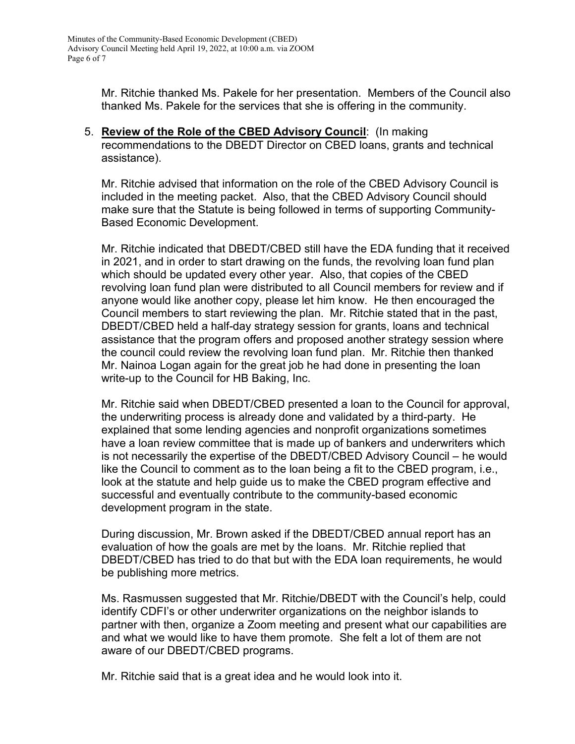Mr. Ritchie thanked Ms. Pakele for her presentation. Members of the Council also thanked Ms. Pakele for the services that she is offering in the community.

5. **Review of the Role of the CBED Advisory Council**: (In making recommendations to the DBEDT Director on CBED loans, grants and technical assistance).

Mr. Ritchie advised that information on the role of the CBED Advisory Council is included in the meeting packet. Also, that the CBED Advisory Council should make sure that the Statute is being followed in terms of supporting Community-Based Economic Development.

Mr. Ritchie indicated that DBEDT/CBED still have the EDA funding that it received in 2021, and in order to start drawing on the funds, the revolving loan fund plan which should be updated every other year. Also, that copies of the CBED revolving loan fund plan were distributed to all Council members for review and if anyone would like another copy, please let him know. He then encouraged the Council members to start reviewing the plan. Mr. Ritchie stated that in the past, DBEDT/CBED held a half-day strategy session for grants, loans and technical assistance that the program offers and proposed another strategy session where the council could review the revolving loan fund plan. Mr. Ritchie then thanked Mr. Nainoa Logan again for the great job he had done in presenting the loan write-up to the Council for HB Baking, Inc.

Mr. Ritchie said when DBEDT/CBED presented a loan to the Council for approval, the underwriting process is already done and validated by a third-party. He explained that some lending agencies and nonprofit organizations sometimes have a loan review committee that is made up of bankers and underwriters which is not necessarily the expertise of the DBEDT/CBED Advisory Council – he would like the Council to comment as to the loan being a fit to the CBED program, i.e., look at the statute and help guide us to make the CBED program effective and successful and eventually contribute to the community-based economic development program in the state.

During discussion, Mr. Brown asked if the DBEDT/CBED annual report has an evaluation of how the goals are met by the loans. Mr. Ritchie replied that DBEDT/CBED has tried to do that but with the EDA loan requirements, he would be publishing more metrics.

Ms. Rasmussen suggested that Mr. Ritchie/DBEDT with the Council's help, could identify CDFI's or other underwriter organizations on the neighbor islands to partner with then, organize a Zoom meeting and present what our capabilities are and what we would like to have them promote. She felt a lot of them are not aware of our DBEDT/CBED programs.

Mr. Ritchie said that is a great idea and he would look into it.